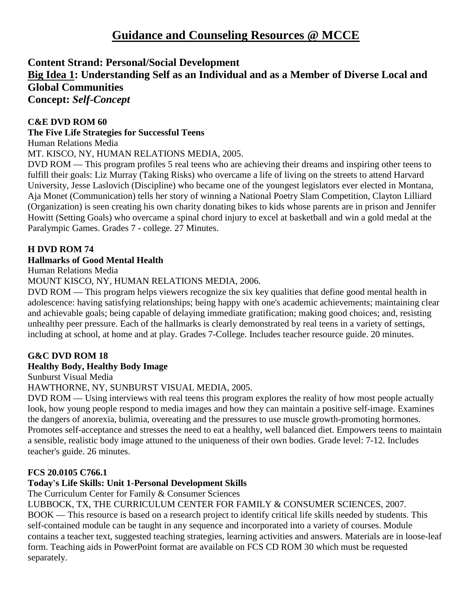# **Guidance and Counseling Resources @ MCCE**

# **Content Strand: Personal/Social Development**

# **Big Idea 1: Understanding Self as an Individual and as a Member of Diverse Local and Global Communities**

**Concept:** *Self-Concept*

#### **C&E DVD ROM 60**

#### **The Five Life Strategies for Successful Teens**

Human Relations Media

MT. KISCO, NY, HUMAN RELATIONS MEDIA, 2005.

DVD ROM — This program profiles 5 real teens who are achieving their dreams and inspiring other teens to fulfill their goals: Liz Murray (Taking Risks) who overcame a life of living on the streets to attend Harvard University, Jesse Laslovich (Discipline) who became one of the youngest legislators ever elected in Montana, Aja Monet (Communication) tells her story of winning a National Poetry Slam Competition, Clayton Lilliard (Organization) is seen creating his own charity donating bikes to kids whose parents are in prison and Jennifer Howitt (Setting Goals) who overcame a spinal chord injury to excel at basketball and win a gold medal at the Paralympic Games. Grades 7 - college. 27 Minutes.

#### **H DVD ROM 74**

#### **Hallmarks of Good Mental Health**

Human Relations Media

MOUNT KISCO, NY, HUMAN RELATIONS MEDIA, 2006.

DVD ROM — This program helps viewers recognize the six key qualities that define good mental health in adolescence: having satisfying relationships; being happy with one's academic achievements; maintaining clear and achievable goals; being capable of delaying immediate gratification; making good choices; and, resisting unhealthy peer pressure. Each of the hallmarks is clearly demonstrated by real teens in a variety of settings, including at school, at home and at play. Grades 7-College. Includes teacher resource guide. 20 minutes.

# **G&C DVD ROM 18**

#### **Healthy Body, Healthy Body Image**

Sunburst Visual Media

HAWTHORNE, NY, SUNBURST VISUAL MEDIA, 2005.

DVD ROM — Using interviews with real teens this program explores the reality of how most people actually look, how young people respond to media images and how they can maintain a positive self-image. Examines the dangers of anorexia, bulimia, overeating and the pressures to use muscle growth-promoting hormones. Promotes self-acceptance and stresses the need to eat a healthy, well balanced diet. Empowers teens to maintain a sensible, realistic body image attuned to the uniqueness of their own bodies. Grade level: 7-12. Includes teacher's guide. 26 minutes.

#### **FCS 20.0105 C766.1**

#### **Today's Life Skills: Unit 1-Personal Development Skills**

The Curriculum Center for Family & Consumer Sciences

LUBBOCK, TX, THE CURRICULUM CENTER FOR FAMILY & CONSUMER SCIENCES, 2007. BOOK — This resource is based on a research project to identify critical life skills needed by students. This self-contained module can be taught in any sequence and incorporated into a variety of courses. Module contains a teacher text, suggested teaching strategies, learning activities and answers. Materials are in loose-leaf form. Teaching aids in PowerPoint format are available on FCS CD ROM 30 which must be requested separately.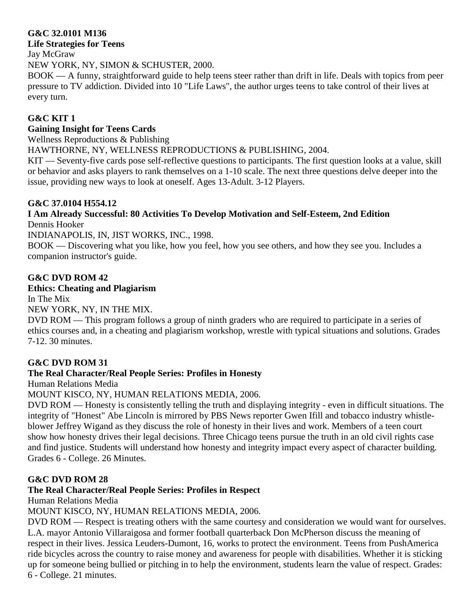# **G&C 32.0101 M136**

#### **Life Strategies for Teens**

Jay McGraw

NEW YORK, NY, SIMON & SCHUSTER, 2000.

BOOK — A funny, straightforward guide to help teens steer rather than drift in life. Deals with topics from peer pressure to TV addiction. Divided into 10 "Life Laws", the author urges teens to take control of their lives at every turn.

#### **G&C KIT 1**

#### **Gaining Insight for Teens Cards**

Wellness Reproductions & Publishing

HAWTHORNE, NY, WELLNESS REPRODUCTIONS & PUBLISHING, 2004.

KIT — Seventy-five cards pose self-reflective questions to participants. The first question looks at a value, skill or behavior and asks players to rank themselves on a 1-10 scale. The next three questions delve deeper into the issue, providing new ways to look at oneself. Ages 13-Adult. 3-12 Players.

#### **G&C 37.0104 H554.12**

#### **I Am Already Successful: 80 Activities To Develop Motivation and Self-Esteem, 2nd Edition** Dennis Hooker

INDIANAPOLIS, IN, JIST WORKS, INC., 1998.

BOOK — Discovering what you like, how you feel, how you see others, and how they see you. Includes a companion instructor's guide.

#### **G&C DVD ROM 42**

**Ethics: Cheating and Plagiarism**

In The Mix NEW YORK, NY, IN THE MIX.

DVD ROM — This program follows a group of ninth graders who are required to participate in a series of ethics courses and, in a cheating and plagiarism workshop, wrestle with typical situations and solutions. Grades 7-12. 30 minutes.

# **G&C DVD ROM 31**

# **The Real Character/Real People Series: Profiles in Honesty**

Human Relations Media

MOUNT KISCO, NY, HUMAN RELATIONS MEDIA, 2006.

DVD ROM — Honesty is consistently telling the truth and displaying integrity - even in difficult situations. The integrity of "Honest" Abe Lincoln is mirrored by PBS News reporter Gwen Ifill and tobacco industry whistleblower Jeffrey Wigand as they discuss the role of honesty in their lives and work. Members of a teen court show how honesty drives their legal decisions. Three Chicago teens pursue the truth in an old civil rights case and find justice. Students will understand how honesty and integrity impact every aspect of character building. Grades 6 - College. 26 Minutes.

#### **G&C DVD ROM 28**

#### **The Real Character/Real People Series: Profiles in Respect**

Human Relations Media

MOUNT KISCO, NY, HUMAN RELATIONS MEDIA, 2006.

DVD ROM — Respect is treating others with the same courtesy and consideration we would want for ourselves. L.A. mayor Antonio Villaraigosa and former football quarterback Don McPherson discuss the meaning of respect in their lives. Jessica Leuders-Dumont, 16, works to protect the environment. Teens from PushAmerica ride bicycles across the country to raise money and awareness for people with disabilities. Whether it is sticking up for someone being bullied or pitching in to help the environment, students learn the value of respect. Grades: 6 - College. 21 minutes.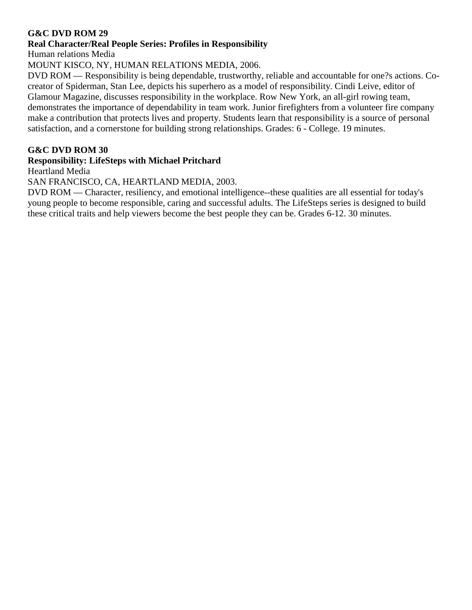#### **Real Character/Real People Series: Profiles in Responsibility**

Human relations Media

MOUNT KISCO, NY, HUMAN RELATIONS MEDIA, 2006.

DVD ROM — Responsibility is being dependable, trustworthy, reliable and accountable for one?s actions. Cocreator of Spiderman, Stan Lee, depicts his superhero as a model of responsibility. Cindi Leive, editor of Glamour Magazine, discusses responsibility in the workplace. Row New York, an all-girl rowing team, demonstrates the importance of dependability in team work. Junior firefighters from a volunteer fire company make a contribution that protects lives and property. Students learn that responsibility is a source of personal satisfaction, and a cornerstone for building strong relationships. Grades: 6 - College. 19 minutes.

#### **G&C DVD ROM 30**

#### **Responsibility: LifeSteps with Michael Pritchard**

Heartland Media

SAN FRANCISCO, CA, HEARTLAND MEDIA, 2003.

DVD ROM — Character, resiliency, and emotional intelligence--these qualities are all essential for today's young people to become responsible, caring and successful adults. The LifeSteps series is designed to build these critical traits and help viewers become the best people they can be. Grades 6-12. 30 minutes.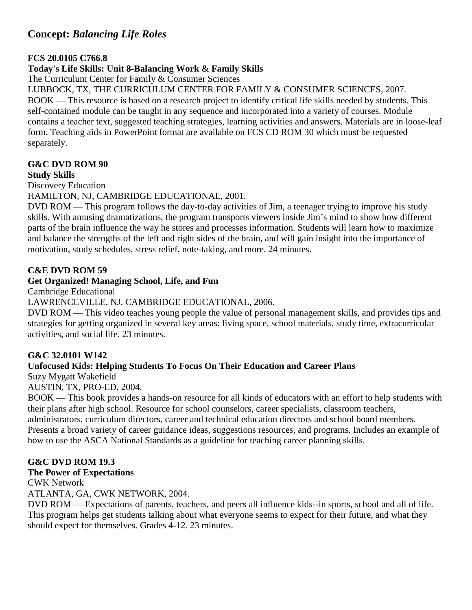# **Concept:** *Balancing Life Roles*

#### **FCS 20.0105 C766.8**

#### **Today's Life Skills: Unit 8-Balancing Work & Family Skills**

The Curriculum Center for Family & Consumer Sciences

LUBBOCK, TX, THE CURRICULUM CENTER FOR FAMILY & CONSUMER SCIENCES, 2007.

BOOK — This resource is based on a research project to identify critical life skills needed by students. This self-contained module can be taught in any sequence and incorporated into a variety of courses. Module contains a teacher text, suggested teaching strategies, learning activities and answers. Materials are in loose-leaf form. Teaching aids in PowerPoint format are available on FCS CD ROM 30 which must be requested separately.

# **G&C DVD ROM 90**

**Study Skills**

Discovery Education

HAMILTON, NJ, CAMBRIDGE EDUCATIONAL, 2001.

DVD ROM — This program follows the day-to-day activities of Jim, a teenager trying to improve his study skills. With amusing dramatizations, the program transports viewers inside Jim's mind to show how different parts of the brain influence the way he stores and processes information. Students will learn how to maximize and balance the strengths of the left and right sides of the brain, and will gain insight into the importance of motivation, study schedules, stress relief, note-taking, and more. 24 minutes.

#### **C&E DVD ROM 59**

#### **Get Organized! Managing School, Life, and Fun**

Cambridge Educational

LAWRENCEVILLE, NJ, CAMBRIDGE EDUCATIONAL, 2006.

DVD ROM — This video teaches young people the value of personal management skills, and provides tips and strategies for getting organized in several key areas: living space, school materials, study time, extracurricular activities, and social life. 23 minutes.

# **G&C 32.0101 W142**

#### **Unfocused Kids: Helping Students To Focus On Their Education and Career Plans**

Suzy Mygatt Wakefield

AUSTIN, TX, PRO-ED, 2004.

BOOK — This book provides a hands-on resource for all kinds of educators with an effort to help students with their plans after high school. Resource for school counselors, career specialists, classroom teachers,

administrators, curriculum directors, career and technical education directors and school board members. Presents a broad variety of career guidance ideas, suggestions resources, and programs. Includes an example of

how to use the ASCA National Standards as a guideline for teaching career planning skills.

#### **G&C DVD ROM 19.3**

#### **The Power of Expectations**

CWK Network

ATLANTA, GA, CWK NETWORK, 2004.

DVD ROM — Expectations of parents, teachers, and peers all influence kids--in sports, school and all of life. This program helps get students talking about what everyone seems to expect for their future, and what they should expect for themselves. Grades 4-12. 23 minutes.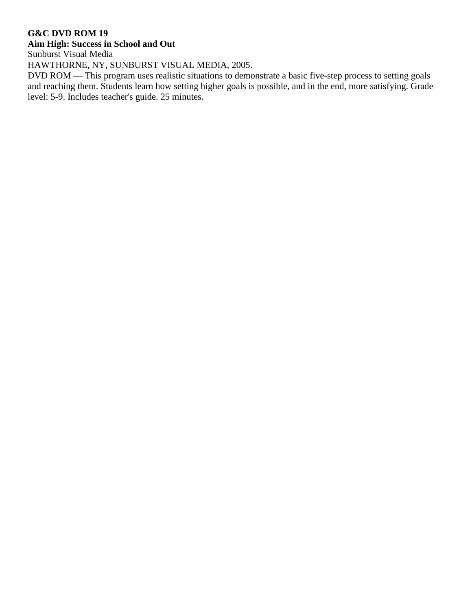# **Aim High: Success in School and Out**

Sunburst Visual Media

HAWTHORNE, NY, SUNBURST VISUAL MEDIA, 2005.

DVD ROM — This program uses realistic situations to demonstrate a basic five-step process to setting goals and reaching them. Students learn how setting higher goals is possible, and in the end, more satisfying. Grade level: 5-9. Includes teacher's guide. 25 minutes.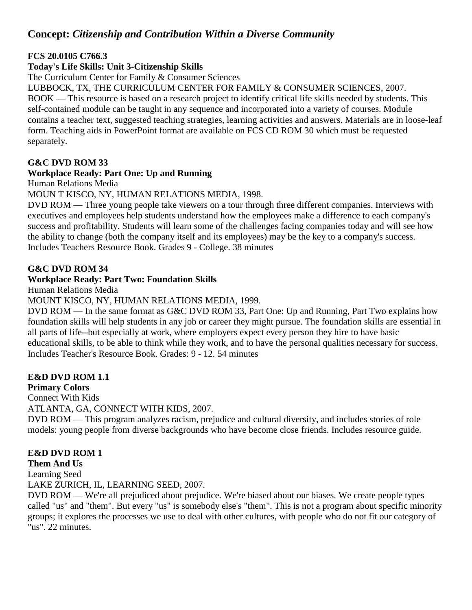# **Concept:** *Citizenship and Contribution Within a Diverse Community*

#### **FCS 20.0105 C766.3**

# **Today's Life Skills: Unit 3-Citizenship Skills**

The Curriculum Center for Family & Consumer Sciences

LUBBOCK, TX, THE CURRICULUM CENTER FOR FAMILY & CONSUMER SCIENCES, 2007.

BOOK — This resource is based on a research project to identify critical life skills needed by students. This self-contained module can be taught in any sequence and incorporated into a variety of courses. Module contains a teacher text, suggested teaching strategies, learning activities and answers. Materials are in loose-leaf form. Teaching aids in PowerPoint format are available on FCS CD ROM 30 which must be requested separately.

#### **G&C DVD ROM 33**

#### **Workplace Ready: Part One: Up and Running**

Human Relations Media

MOUN T KISCO, NY, HUMAN RELATIONS MEDIA, 1998.

DVD ROM — Three young people take viewers on a tour through three different companies. Interviews with executives and employees help students understand how the employees make a difference to each company's success and profitability. Students will learn some of the challenges facing companies today and will see how the ability to change (both the company itself and its employees) may be the key to a company's success. Includes Teachers Resource Book. Grades 9 - College. 38 minutes

#### **G&C DVD ROM 34**

#### **Workplace Ready: Part Two: Foundation Skills**

Human Relations Media

MOUNT KISCO, NY, HUMAN RELATIONS MEDIA, 1999.

DVD ROM — In the same format as G&C DVD ROM 33, Part One: Up and Running, Part Two explains how foundation skills will help students in any job or career they might pursue. The foundation skills are essential in all parts of life--but especially at work, where employers expect every person they hire to have basic educational skills, to be able to think while they work, and to have the personal qualities necessary for success. Includes Teacher's Resource Book. Grades: 9 - 12. 54 minutes

# **E&D DVD ROM 1.1**

#### **Primary Colors**

Connect With Kids ATLANTA, GA, CONNECT WITH KIDS, 2007.

DVD ROM — This program analyzes racism, prejudice and cultural diversity, and includes stories of role models: young people from diverse backgrounds who have become close friends. Includes resource guide.

# **E&D DVD ROM 1**

**Them And Us**

Learning Seed

LAKE ZURICH, IL, LEARNING SEED, 2007.

DVD ROM — We're all prejudiced about prejudice. We're biased about our biases. We create people types called "us" and "them". But every "us" is somebody else's "them". This is not a program about specific minority groups; it explores the processes we use to deal with other cultures, with people who do not fit our category of "us". 22 minutes.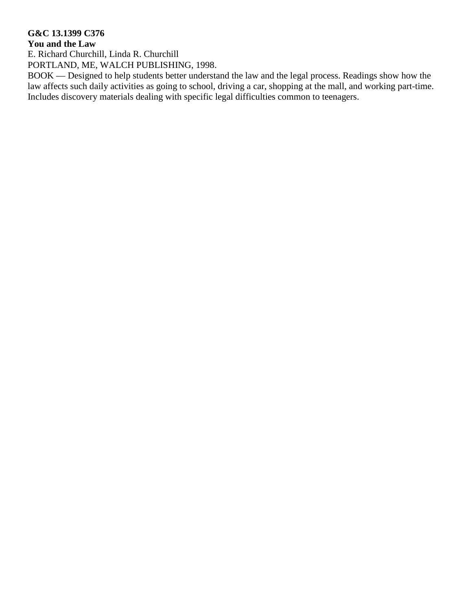# **G&C 13.1399 C376**

# **You and the Law**

E. Richard Churchill, Linda R. Churchill

PORTLAND, ME, WALCH PUBLISHING, 1998.

BOOK — Designed to help students better understand the law and the legal process. Readings show how the law affects such daily activities as going to school, driving a car, shopping at the mall, and working part-time. Includes discovery materials dealing with specific legal difficulties common to teenagers.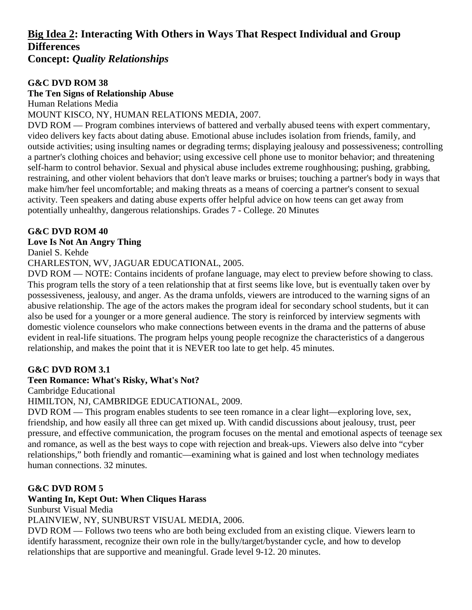# **Big Idea 2: Interacting With Others in Ways That Respect Individual and Group Differences**

**Concept:** *Quality Relationships*

#### **G&C DVD ROM 38**

#### **The Ten Signs of Relationship Abuse**

Human Relations Media

#### MOUNT KISCO, NY, HUMAN RELATIONS MEDIA, 2007.

DVD ROM — Program combines interviews of battered and verbally abused teens with expert commentary, video delivers key facts about dating abuse. Emotional abuse includes isolation from friends, family, and outside activities; using insulting names or degrading terms; displaying jealousy and possessiveness; controlling a partner's clothing choices and behavior; using excessive cell phone use to monitor behavior; and threatening self-harm to control behavior. Sexual and physical abuse includes extreme roughhousing; pushing, grabbing, restraining, and other violent behaviors that don't leave marks or bruises; touching a partner's body in ways that make him/her feel uncomfortable; and making threats as a means of coercing a partner's consent to sexual activity. Teen speakers and dating abuse experts offer helpful advice on how teens can get away from potentially unhealthy, dangerous relationships. Grades 7 - College. 20 Minutes

#### **G&C DVD ROM 40**

#### **Love Is Not An Angry Thing**

Daniel S. Kehde

CHARLESTON, WV, JAGUAR EDUCATIONAL, 2005.

DVD ROM — NOTE: Contains incidents of profane language, may elect to preview before showing to class. This program tells the story of a teen relationship that at first seems like love, but is eventually taken over by possessiveness, jealousy, and anger. As the drama unfolds, viewers are introduced to the warning signs of an abusive relationship. The age of the actors makes the program ideal for secondary school students, but it can also be used for a younger or a more general audience. The story is reinforced by interview segments with domestic violence counselors who make connections between events in the drama and the patterns of abuse evident in real-life situations. The program helps young people recognize the characteristics of a dangerous relationship, and makes the point that it is NEVER too late to get help. 45 minutes.

#### **G&C DVD ROM 3.1**

#### **Teen Romance: What's Risky, What's Not?**

Cambridge Educational

#### HIMILTON, NJ, CAMBRIDGE EDUCATIONAL, 2009.

DVD ROM — This program enables students to see teen romance in a clear light—exploring love, sex, friendship, and how easily all three can get mixed up. With candid discussions about jealousy, trust, peer pressure, and effective communication, the program focuses on the mental and emotional aspects of teenage sex and romance, as well as the best ways to cope with rejection and break-ups. Viewers also delve into "cyber relationships," both friendly and romantic—examining what is gained and lost when technology mediates human connections. 32 minutes.

#### **G&C DVD ROM 5**

# **Wanting In, Kept Out: When Cliques Harass**

Sunburst Visual Media

PLAINVIEW, NY, SUNBURST VISUAL MEDIA, 2006.

DVD ROM — Follows two teens who are both being excluded from an existing clique. Viewers learn to identify harassment, recognize their own role in the bully/target/bystander cycle, and how to develop relationships that are supportive and meaningful. Grade level 9-12. 20 minutes.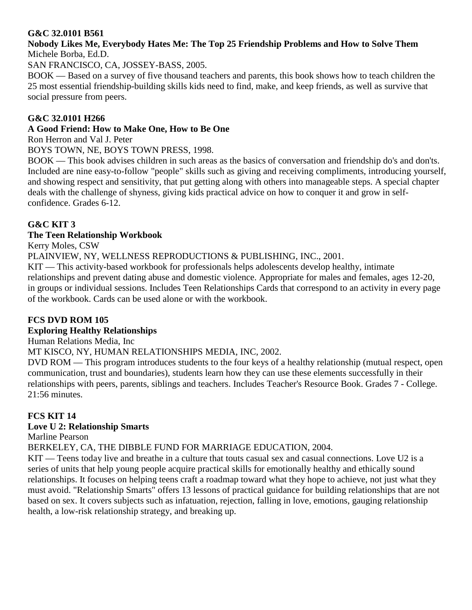#### **G&C 32.0101 B561**

#### **Nobody Likes Me, Everybody Hates Me: The Top 25 Friendship Problems and How to Solve Them** Michele Borba, Ed.D.

SAN FRANCISCO, CA, JOSSEY-BASS, 2005.

BOOK — Based on a survey of five thousand teachers and parents, this book shows how to teach children the 25 most essential friendship-building skills kids need to find, make, and keep friends, as well as survive that social pressure from peers.

#### **G&C 32.0101 H266**

#### **A Good Friend: How to Make One, How to Be One**

Ron Herron and Val J. Peter

BOYS TOWN, NE, BOYS TOWN PRESS, 1998.

BOOK — This book advises children in such areas as the basics of conversation and friendship do's and don'ts. Included are nine easy-to-follow "people" skills such as giving and receiving compliments, introducing yourself, and showing respect and sensitivity, that put getting along with others into manageable steps. A special chapter deals with the challenge of shyness, giving kids practical advice on how to conquer it and grow in selfconfidence. Grades 6-12.

#### **G&C KIT 3**

#### **The Teen Relationship Workbook**

Kerry Moles, CSW

PLAINVIEW, NY, WELLNESS REPRODUCTIONS & PUBLISHING, INC., 2001.

KIT — This activity-based workbook for professionals helps adolescents develop healthy, intimate relationships and prevent dating abuse and domestic violence. Appropriate for males and females, ages 12-20, in groups or individual sessions. Includes Teen Relationships Cards that correspond to an activity in every page of the workbook. Cards can be used alone or with the workbook.

#### **FCS DVD ROM 105**

#### **Exploring Healthy Relationships**

Human Relations Media, Inc

MT KISCO, NY, HUMAN RELATIONSHIPS MEDIA, INC, 2002.

DVD ROM — This program introduces students to the four keys of a healthy relationship (mutual respect, open communication, trust and boundaries), students learn how they can use these elements successfully in their relationships with peers, parents, siblings and teachers. Includes Teacher's Resource Book. Grades 7 - College. 21:56 minutes.

#### **FCS KIT 14**

#### **Love U 2: Relationship Smarts**

Marline Pearson

BERKELEY, CA, THE DIBBLE FUND FOR MARRIAGE EDUCATION, 2004.

KIT — Teens today live and breathe in a culture that touts casual sex and casual connections. Love U2 is a series of units that help young people acquire practical skills for emotionally healthy and ethically sound relationships. It focuses on helping teens craft a roadmap toward what they hope to achieve, not just what they must avoid. "Relationship Smarts" offers 13 lessons of practical guidance for building relationships that are not based on sex. It covers subjects such as infatuation, rejection, falling in love, emotions, gauging relationship health, a low-risk relationship strategy, and breaking up.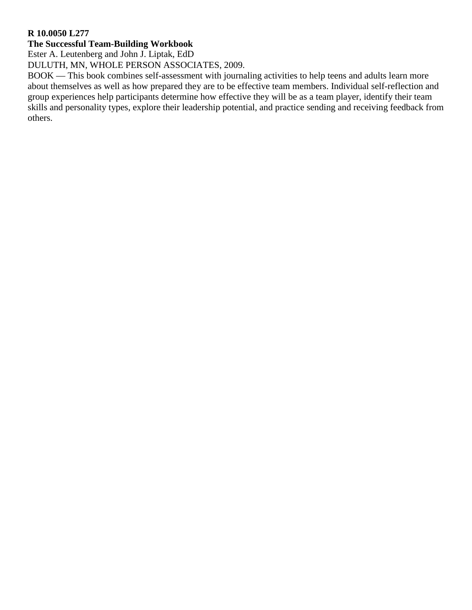#### **R 10.0050 L277**

#### **The Successful Team-Building Workbook**

Ester A. Leutenberg and John J. Liptak, EdD

DULUTH, MN, WHOLE PERSON ASSOCIATES, 2009.

BOOK — This book combines self-assessment with journaling activities to help teens and adults learn more about themselves as well as how prepared they are to be effective team members. Individual self-reflection and group experiences help participants determine how effective they will be as a team player, identify their team skills and personality types, explore their leadership potential, and practice sending and receiving feedback from others.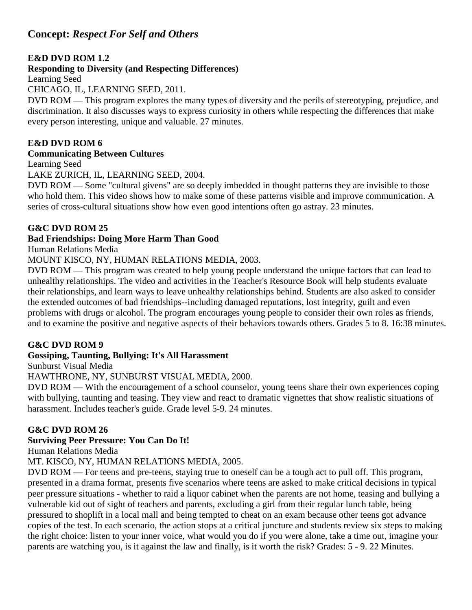# **Concept:** *Respect For Self and Others*

#### **E&D DVD ROM 1.2**

#### **Responding to Diversity (and Respecting Differences)**

Learning Seed

CHICAGO, IL, LEARNING SEED, 2011.

DVD ROM — This program explores the many types of diversity and the perils of stereotyping, prejudice, and discrimination. It also discusses ways to express curiosity in others while respecting the differences that make every person interesting, unique and valuable. 27 minutes.

#### **E&D DVD ROM 6**

#### **Communicating Between Cultures**

Learning Seed

LAKE ZURICH, IL, LEARNING SEED, 2004.

DVD ROM — Some "cultural givens" are so deeply imbedded in thought patterns they are invisible to those who hold them. This video shows how to make some of these patterns visible and improve communication. A series of cross-cultural situations show how even good intentions often go astray. 23 minutes.

#### **G&C DVD ROM 25**

#### **Bad Friendships: Doing More Harm Than Good**

Human Relations Media

MOUNT KISCO, NY, HUMAN RELATIONS MEDIA, 2003.

DVD ROM — This program was created to help young people understand the unique factors that can lead to unhealthy relationships. The video and activities in the Teacher's Resource Book will help students evaluate their relationships, and learn ways to leave unhealthy relationships behind. Students are also asked to consider the extended outcomes of bad friendships--including damaged reputations, lost integrity, guilt and even problems with drugs or alcohol. The program encourages young people to consider their own roles as friends, and to examine the positive and negative aspects of their behaviors towards others. Grades 5 to 8. 16:38 minutes.

#### **G&C DVD ROM 9**

#### **Gossiping, Taunting, Bullying: It's All Harassment**

Sunburst Visual Media

HAWTHRONE, NY, SUNBURST VISUAL MEDIA, 2000.

DVD ROM — With the encouragement of a school counselor, young teens share their own experiences coping with bullying, taunting and teasing. They view and react to dramatic vignettes that show realistic situations of harassment. Includes teacher's guide. Grade level 5-9. 24 minutes.

#### **G&C DVD ROM 26**

#### **Surviving Peer Pressure: You Can Do It!**

Human Relations Media

MT. KISCO, NY, HUMAN RELATIONS MEDIA, 2005.

DVD ROM — For teens and pre-teens, staying true to oneself can be a tough act to pull off. This program, presented in a drama format, presents five scenarios where teens are asked to make critical decisions in typical peer pressure situations - whether to raid a liquor cabinet when the parents are not home, teasing and bullying a vulnerable kid out of sight of teachers and parents, excluding a girl from their regular lunch table, being pressured to shoplift in a local mall and being tempted to cheat on an exam because other teens got advance copies of the test. In each scenario, the action stops at a critical juncture and students review six steps to making the right choice: listen to your inner voice, what would you do if you were alone, take a time out, imagine your parents are watching you, is it against the law and finally, is it worth the risk? Grades: 5 - 9. 22 Minutes.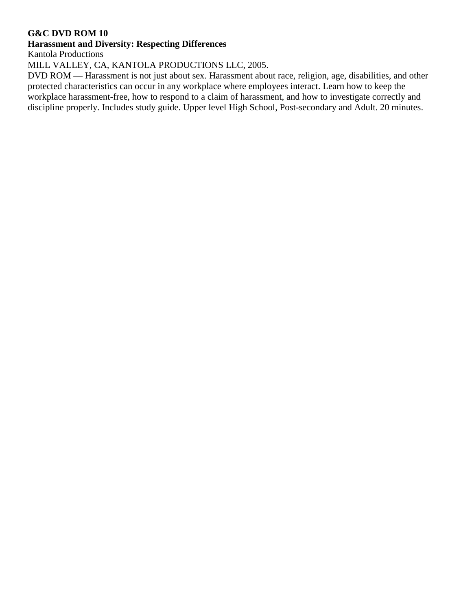#### **Harassment and Diversity: Respecting Differences**

Kantola Productions

MILL VALLEY, CA, KANTOLA PRODUCTIONS LLC, 2005.

DVD ROM — Harassment is not just about sex. Harassment about race, religion, age, disabilities, and other protected characteristics can occur in any workplace where employees interact. Learn how to keep the workplace harassment-free, how to respond to a claim of harassment, and how to investigate correctly and discipline properly. Includes study guide. Upper level High School, Post-secondary and Adult. 20 minutes.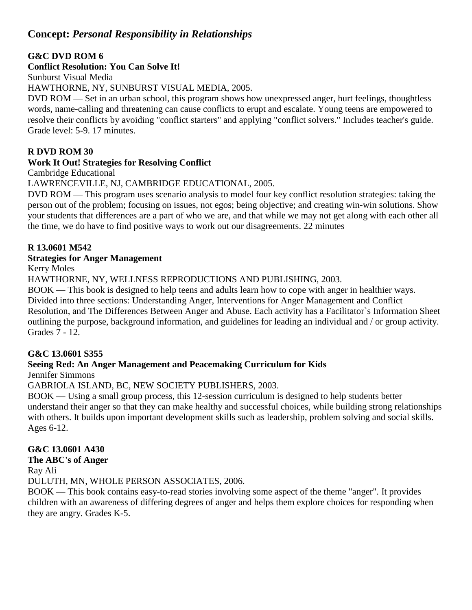# **Concept:** *Personal Responsibility in Relationships*

#### **G&C DVD ROM 6**

#### **Conflict Resolution: You Can Solve It!**

Sunburst Visual Media

HAWTHORNE, NY, SUNBURST VISUAL MEDIA, 2005.

DVD ROM — Set in an urban school, this program shows how unexpressed anger, hurt feelings, thoughtless words, name-calling and threatening can cause conflicts to erupt and escalate. Young teens are empowered to resolve their conflicts by avoiding "conflict starters" and applying "conflict solvers." Includes teacher's guide. Grade level: 5-9. 17 minutes.

# **R DVD ROM 30**

#### **Work It Out! Strategies for Resolving Conflict**

Cambridge Educational

LAWRENCEVILLE, NJ, CAMBRIDGE EDUCATIONAL, 2005.

DVD ROM — This program uses scenario analysis to model four key conflict resolution strategies: taking the person out of the problem; focusing on issues, not egos; being objective; and creating win-win solutions. Show your students that differences are a part of who we are, and that while we may not get along with each other all the time, we do have to find positive ways to work out our disagreements. 22 minutes

#### **R 13.0601 M542**

#### **Strategies for Anger Management**

Kerry Moles

HAWTHORNE, NY, WELLNESS REPRODUCTIONS AND PUBLISHING, 2003.

BOOK — This book is designed to help teens and adults learn how to cope with anger in healthier ways. Divided into three sections: Understanding Anger, Interventions for Anger Management and Conflict Resolution, and The Differences Between Anger and Abuse. Each activity has a Facilitator`s Information Sheet outlining the purpose, background information, and guidelines for leading an individual and / or group activity. Grades 7 - 12.

# **G&C 13.0601 S355**

# **Seeing Red: An Anger Management and Peacemaking Curriculum for Kids**

Jennifer Simmons

# GABRIOLA ISLAND, BC, NEW SOCIETY PUBLISHERS, 2003.

BOOK — Using a small group process, this 12-session curriculum is designed to help students better understand their anger so that they can make healthy and successful choices, while building strong relationships with others. It builds upon important development skills such as leadership, problem solving and social skills. Ages 6-12.

# **G&C 13.0601 A430**

#### **The ABC's of Anger**

Ray Ali

DULUTH, MN, WHOLE PERSON ASSOCIATES, 2006.

BOOK — This book contains easy-to-read stories involving some aspect of the theme "anger". It provides children with an awareness of differing degrees of anger and helps them explore choices for responding when they are angry. Grades K-5.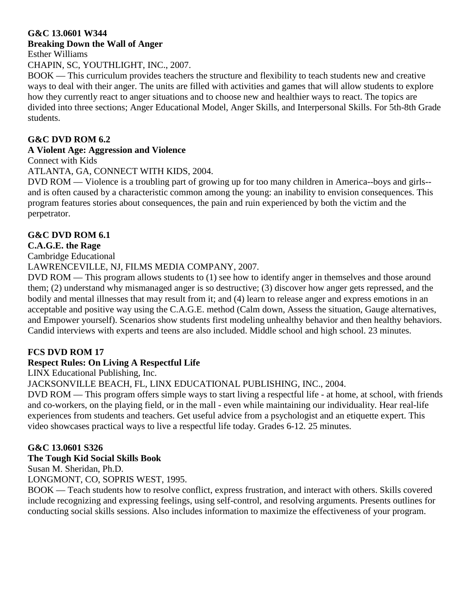#### **G&C 13.0601 W344 Breaking Down the Wall of Anger**

Esther Williams

CHAPIN, SC, YOUTHLIGHT, INC., 2007.

BOOK — This curriculum provides teachers the structure and flexibility to teach students new and creative ways to deal with their anger. The units are filled with activities and games that will allow students to explore how they currently react to anger situations and to choose new and healthier ways to react. The topics are divided into three sections; Anger Educational Model, Anger Skills, and Interpersonal Skills. For 5th-8th Grade students.

# **G&C DVD ROM 6.2**

# **A Violent Age: Aggression and Violence**

Connect with Kids

ATLANTA, GA, CONNECT WITH KIDS, 2004.

DVD ROM — Violence is a troubling part of growing up for too many children in America--boys and girls- and is often caused by a characteristic common among the young: an inability to envision consequences. This program features stories about consequences, the pain and ruin experienced by both the victim and the perpetrator.

# **G&C DVD ROM 6.1**

# **C.A.G.E. the Rage**

Cambridge Educational

LAWRENCEVILLE, NJ, FILMS MEDIA COMPANY, 2007.

DVD ROM — This program allows students to (1) see how to identify anger in themselves and those around them; (2) understand why mismanaged anger is so destructive; (3) discover how anger gets repressed, and the bodily and mental illnesses that may result from it; and (4) learn to release anger and express emotions in an acceptable and positive way using the C.A.G.E. method (Calm down, Assess the situation, Gauge alternatives, and Empower yourself). Scenarios show students first modeling unhealthy behavior and then healthy behaviors. Candid interviews with experts and teens are also included. Middle school and high school. 23 minutes.

# **FCS DVD ROM 17**

# **Respect Rules: On Living A Respectful Life**

LINX Educational Publishing, Inc.

JACKSONVILLE BEACH, FL, LINX EDUCATIONAL PUBLISHING, INC., 2004.

DVD ROM — This program offers simple ways to start living a respectful life - at home, at school, with friends and co-workers, on the playing field, or in the mall - even while maintaining our individuality. Hear real-life experiences from students and teachers. Get useful advice from a psychologist and an etiquette expert. This video showcases practical ways to live a respectful life today. Grades 6-12. 25 minutes.

# **G&C 13.0601 S326**

# **The Tough Kid Social Skills Book**

Susan M. Sheridan, Ph.D.

LONGMONT, CO, SOPRIS WEST, 1995.

BOOK — Teach students how to resolve conflict, express frustration, and interact with others. Skills covered include recognizing and expressing feelings, using self-control, and resolving arguments. Presents outlines for conducting social skills sessions. Also includes information to maximize the effectiveness of your program.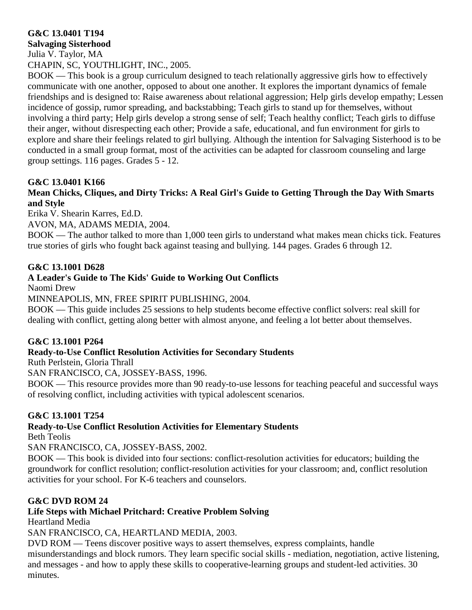# **G&C 13.0401 T194**

**Salvaging Sisterhood** Julia V. Taylor, MA CHAPIN, SC, YOUTHLIGHT, INC., 2005.

BOOK — This book is a group curriculum designed to teach relationally aggressive girls how to effectively communicate with one another, opposed to about one another. It explores the important dynamics of female friendships and is designed to: Raise awareness about relational aggression; Help girls develop empathy; Lessen incidence of gossip, rumor spreading, and backstabbing; Teach girls to stand up for themselves, without involving a third party; Help girls develop a strong sense of self; Teach healthy conflict; Teach girls to diffuse their anger, without disrespecting each other; Provide a safe, educational, and fun environment for girls to explore and share their feelings related to girl bullying. Although the intention for Salvaging Sisterhood is to be conducted in a small group format, most of the activities can be adapted for classroom counseling and large group settings. 116 pages. Grades 5 - 12.

#### **G&C 13.0401 K166**

#### **Mean Chicks, Cliques, and Dirty Tricks: A Real Girl's Guide to Getting Through the Day With Smarts and Style**

Erika V. Shearin Karres, Ed.D.

AVON, MA, ADAMS MEDIA, 2004.

BOOK — The author talked to more than 1,000 teen girls to understand what makes mean chicks tick. Features true stories of girls who fought back against teasing and bullying. 144 pages. Grades 6 through 12.

#### **G&C 13.1001 D628**

# **A Leader's Guide to The Kids' Guide to Working Out Conflicts**

Naomi Drew

MINNEAPOLIS, MN, FREE SPIRIT PUBLISHING, 2004.

BOOK — This guide includes 25 sessions to help students become effective conflict solvers: real skill for dealing with conflict, getting along better with almost anyone, and feeling a lot better about themselves.

#### **G&C 13.1001 P264**

# **Ready-to-Use Conflict Resolution Activities for Secondary Students**

Ruth Perlstein, Gloria Thrall

SAN FRANCISCO, CA, JOSSEY-BASS, 1996.

BOOK — This resource provides more than 90 ready-to-use lessons for teaching peaceful and successful ways of resolving conflict, including activities with typical adolescent scenarios.

#### **G&C 13.1001 T254**

#### **Ready-to-Use Conflict Resolution Activities for Elementary Students**

Beth Teolis

SAN FRANCISCO, CA, JOSSEY-BASS, 2002.

BOOK — This book is divided into four sections: conflict-resolution activities for educators; building the groundwork for conflict resolution; conflict-resolution activities for your classroom; and, conflict resolution activities for your school. For K-6 teachers and counselors.

#### **G&C DVD ROM 24**

# **Life Steps with Michael Pritchard: Creative Problem Solving**

Heartland Media

SAN FRANCISCO, CA, HEARTLAND MEDIA, 2003.

DVD ROM — Teens discover positive ways to assert themselves, express complaints, handle misunderstandings and block rumors. They learn specific social skills - mediation, negotiation, active listening, and messages - and how to apply these skills to cooperative-learning groups and student-led activities. 30 minutes.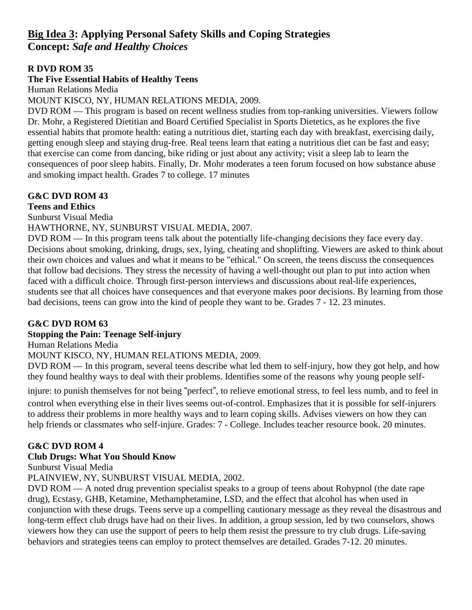# **Big Idea 3: Applying Personal Safety Skills and Coping Strategies Concept:** *Safe and Healthy Choices*

#### **R DVD ROM 35**

#### **The Five Essential Habits of Healthy Teens**

Human Relations Media

#### MOUNT KISCO, NY, HUMAN RELATIONS MEDIA, 2009.

DVD ROM — This program is based on recent wellness studies from top-ranking universities. Viewers follow Dr. Mohr, a Registered Dietitian and Board Certified Specialist in Sports Dietetics, as he explores the five essential habits that promote health: eating a nutritious diet, starting each day with breakfast, exercising daily, getting enough sleep and staying drug-free. Real teens learn that eating a nutritious diet can be fast and easy; that exercise can come from dancing, bike riding or just about any activity; visit a sleep lab to learn the consequences of poor sleep habits. Finally, Dr. Mohr moderates a teen forum focused on how substance abuse and smoking impact health. Grades 7 to college. 17 minutes

#### **G&C DVD ROM 43**

#### **Teens and Ethics**

Sunburst Visual Media

#### HAWTHORNE, NY, SUNBURST VISUAL MEDIA, 2007.

DVD ROM — In this program teens talk about the potentially life-changing decisions they face every day. Decisions about smoking, drinking, drugs, sex, lying, cheating and shoplifting. Viewers are asked to think about their own choices and values and what it means to be "ethical." On screen, the teens discuss the consequences that follow bad decisions. They stress the necessity of having a well-thought out plan to put into action when faced with a difficult choice. Through first-person interviews and discussions about real-life experiences, students see that all choices have consequences and that everyone makes poor decisions. By learning from those bad decisions, teens can grow into the kind of people they want to be. Grades 7 - 12. 23 minutes.

#### **G&C DVD ROM 63**

# **Stopping the Pain: Teenage Self-injury**

Human Relations Media

#### MOUNT KISCO, NY, HUMAN RELATIONS MEDIA, 2009.

DVD ROM — In this program, several teens describe what led them to self-injury, how they got help, and how they found healthy ways to deal with their problems. Identifies some of the reasons why young people self-

injure: to punish themselves for not being "perfect", to relieve emotional stress, to feel less numb, and to feel in

control when everything else in their lives seems out-of-control. Emphasizes that it is possible for self-injurers to address their problems in more healthy ways and to learn coping skills. Advises viewers on how they can help friends or classmates who self-injure. Grades: 7 - College. Includes teacher resource book. 20 minutes.

#### **G&C DVD ROM 4**

# **Club Drugs: What You Should Know**

Sunburst Visual Media

PLAINVIEW, NY, SUNBURST VISUAL MEDIA, 2002.

DVD ROM — A noted drug prevention specialist speaks to a group of teens about Rohypnol (the date rape drug), Ecstasy, GHB, Ketamine, Methamphetamine, LSD, and the effect that alcohol has when used in conjunction with these drugs. Teens serve up a compelling cautionary message as they reveal the disastrous and long-term effect club drugs have had on their lives. In addition, a group session, led by two counselors, shows viewers how they can use the support of peers to help them resist the pressure to try club drugs. Life-saving behaviors and strategies teens can employ to protect themselves are detailed. Grades 7-12. 20 minutes.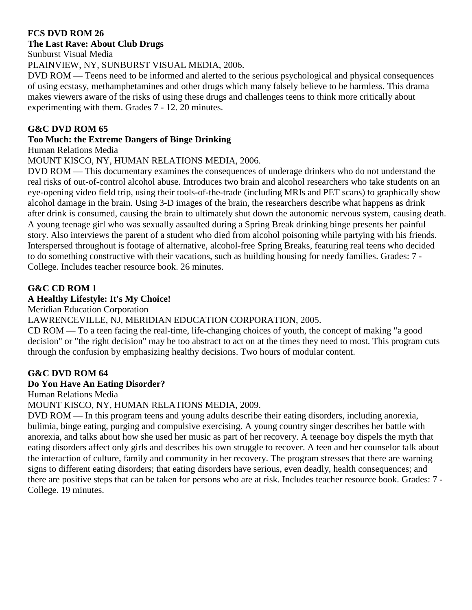#### **FCS DVD ROM 26**

#### **The Last Rave: About Club Drugs**

Sunburst Visual Media

PLAINVIEW, NY, SUNBURST VISUAL MEDIA, 2006.

DVD ROM — Teens need to be informed and alerted to the serious psychological and physical consequences of using ecstasy, methamphetamines and other drugs which many falsely believe to be harmless. This drama makes viewers aware of the risks of using these drugs and challenges teens to think more critically about experimenting with them. Grades 7 - 12. 20 minutes.

#### **G&C DVD ROM 65**

#### **Too Much: the Extreme Dangers of Binge Drinking**

Human Relations Media

#### MOUNT KISCO, NY, HUMAN RELATIONS MEDIA, 2006.

DVD ROM — This documentary examines the consequences of underage drinkers who do not understand the real risks of out-of-control alcohol abuse. Introduces two brain and alcohol researchers who take students on an eye-opening video field trip, using their tools-of-the-trade (including MRIs and PET scans) to graphically show alcohol damage in the brain. Using 3-D images of the brain, the researchers describe what happens as drink after drink is consumed, causing the brain to ultimately shut down the autonomic nervous system, causing death. A young teenage girl who was sexually assaulted during a Spring Break drinking binge presents her painful story. Also interviews the parent of a student who died from alcohol poisoning while partying with his friends. Interspersed throughout is footage of alternative, alcohol-free Spring Breaks, featuring real teens who decided to do something constructive with their vacations, such as building housing for needy families. Grades: 7 - College. Includes teacher resource book. 26 minutes.

# **G&C CD ROM 1**

# **A Healthy Lifestyle: It's My Choice!**

Meridian Education Corporation

# LAWRENCEVILLE, NJ, MERIDIAN EDUCATION CORPORATION, 2005.

CD ROM — To a teen facing the real-time, life-changing choices of youth, the concept of making "a good decision" or "the right decision" may be too abstract to act on at the times they need to most. This program cuts through the confusion by emphasizing healthy decisions. Two hours of modular content.

# **G&C DVD ROM 64**

#### **Do You Have An Eating Disorder?**

Human Relations Media

#### MOUNT KISCO, NY, HUMAN RELATIONS MEDIA, 2009.

DVD ROM — In this program teens and young adults describe their eating disorders, including anorexia, bulimia, binge eating, purging and compulsive exercising. A young country singer describes her battle with anorexia, and talks about how she used her music as part of her recovery. A teenage boy dispels the myth that eating disorders affect only girls and describes his own struggle to recover. A teen and her counselor talk about the interaction of culture, family and community in her recovery. The program stresses that there are warning signs to different eating disorders; that eating disorders have serious, even deadly, health consequences; and there are positive steps that can be taken for persons who are at risk. Includes teacher resource book. Grades: 7 - College. 19 minutes.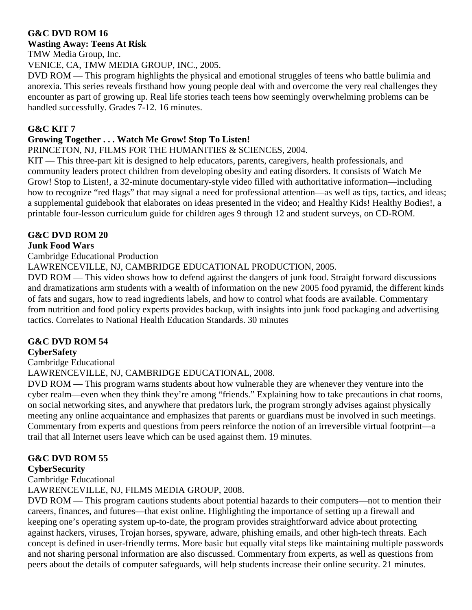#### **Wasting Away: Teens At Risk**

TMW Media Group, Inc.

VENICE, CA, TMW MEDIA GROUP, INC., 2005.

DVD ROM — This program highlights the physical and emotional struggles of teens who battle bulimia and anorexia. This series reveals firsthand how young people deal with and overcome the very real challenges they encounter as part of growing up. Real life stories teach teens how seemingly overwhelming problems can be handled successfully. Grades 7-12. 16 minutes.

# **G&C KIT 7**

#### **Growing Together . . . Watch Me Grow! Stop To Listen!**

PRINCETON, NJ, FILMS FOR THE HUMANITIES & SCIENCES, 2004.

KIT — This three-part kit is designed to help educators, parents, caregivers, health professionals, and community leaders protect children from developing obesity and eating disorders. It consists of Watch Me Grow! Stop to Listen!, a 32-minute documentary-style video filled with authoritative information—including how to recognize "red flags" that may signal a need for professional attention—as well as tips, tactics, and ideas; a supplemental guidebook that elaborates on ideas presented in the video; and Healthy Kids! Healthy Bodies!, a printable four-lesson curriculum guide for children ages 9 through 12 and student surveys, on CD-ROM.

# **G&C DVD ROM 20**

#### **Junk Food Wars**

Cambridge Educational Production

LAWRENCEVILLE, NJ, CAMBRIDGE EDUCATIONAL PRODUCTION, 2005.

DVD ROM — This video shows how to defend against the dangers of junk food. Straight forward discussions and dramatizations arm students with a wealth of information on the new 2005 food pyramid, the different kinds of fats and sugars, how to read ingredients labels, and how to control what foods are available. Commentary from nutrition and food policy experts provides backup, with insights into junk food packaging and advertising tactics. Correlates to National Health Education Standards. 30 minutes

# **G&C DVD ROM 54**

#### **CyberSafety**

Cambridge Educational

# LAWRENCEVILLE, NJ, CAMBRIDGE EDUCATIONAL, 2008.

DVD ROM — This program warns students about how vulnerable they are whenever they venture into the cyber realm—even when they think they're among "friends." Explaining how to take precautions in chat rooms, on social networking sites, and anywhere that predators lurk, the program strongly advises against physically meeting any online acquaintance and emphasizes that parents or guardians must be involved in such meetings. Commentary from experts and questions from peers reinforce the notion of an irreversible virtual footprint—a trail that all Internet users leave which can be used against them. 19 minutes.

# **G&C DVD ROM 55**

#### **CyberSecurity**

Cambridge Educational

LAWRENCEVILLE, NJ, FILMS MEDIA GROUP, 2008.

DVD ROM — This program cautions students about potential hazards to their computers—not to mention their careers, finances, and futures—that exist online. Highlighting the importance of setting up a firewall and keeping one's operating system up-to-date, the program provides straightforward advice about protecting against hackers, viruses, Trojan horses, spyware, adware, phishing emails, and other high-tech threats. Each concept is defined in user-friendly terms. More basic but equally vital steps like maintaining multiple passwords and not sharing personal information are also discussed. Commentary from experts, as well as questions from peers about the details of computer safeguards, will help students increase their online security. 21 minutes.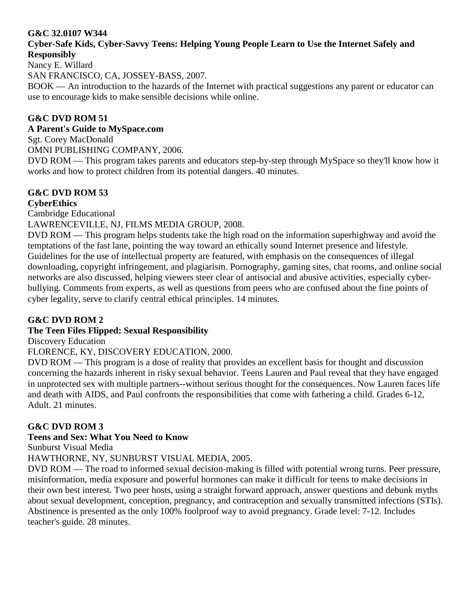#### **G&C 32.0107 W344**

#### **Cyber-Safe Kids, Cyber-Savvy Teens: Helping Young People Learn to Use the Internet Safely and Responsibly**

Nancy E. Willard

SAN FRANCISCO, CA, JOSSEY-BASS, 2007.

BOOK — An introduction to the hazards of the Internet with practical suggestions any parent or educator can use to encourage kids to make sensible decisions while online.

# **G&C DVD ROM 51**

#### **A Parent's Guide to MySpace.com**

Sgt. Corey MacDonald

OMNI PUBLISHING COMPANY, 2006.

DVD ROM — This program takes parents and educators step-by-step through MySpace so they'll know how it works and how to protect children from its potential dangers. 40 minutes.

# **G&C DVD ROM 53**

**CyberEthics**

Cambridge Educational

LAWRENCEVILLE, NJ, FILMS MEDIA GROUP, 2008.

DVD ROM — This program helps students take the high road on the information superhighway and avoid the temptations of the fast lane, pointing the way toward an ethically sound Internet presence and lifestyle. Guidelines for the use of intellectual property are featured, with emphasis on the consequences of illegal downloading, copyright infringement, and plagiarism. Pornography, gaming sites, chat rooms, and online social networks are also discussed, helping viewers steer clear of antisocial and abusive activities, especially cyberbullying. Comments from experts, as well as questions from peers who are confused about the fine points of cyber legality, serve to clarify central ethical principles. 14 minutes.

# **G&C DVD ROM 2**

# **The Teen Files Flipped: Sexual Responsibility**

Discovery Education

FLORENCE, KY, DISCOVERY EDUCATION, 2000.

DVD ROM — This program is a dose of reality that provides an excellent basis for thought and discussion concerning the hazards inherent in risky sexual behavior. Teens Lauren and Paul reveal that they have engaged in unprotected sex with multiple partners--without serious thought for the consequences. Now Lauren faces life and death with AIDS, and Paul confronts the responsibilities that come with fathering a child. Grades 6-12, Adult. 21 minutes.

#### **G&C DVD ROM 3**

#### **Teens and Sex: What You Need to Know**

Sunburst Visual Media

HAWTHORNE, NY, SUNBURST VISUAL MEDIA, 2005.

DVD ROM — The road to informed sexual decision-making is filled with potential wrong turns. Peer pressure, misinformation, media exposure and powerful hormones can make it difficult for teens to make decisions in their own best interest. Two peer hosts, using a straight forward approach, answer questions and debunk myths about sexual development, conception, pregnancy, and contraception and sexually transmitted infections (STIs). Abstinence is presented as the only 100% foolproof way to avoid pregnancy. Grade level: 7-12. Includes teacher's guide. 28 minutes.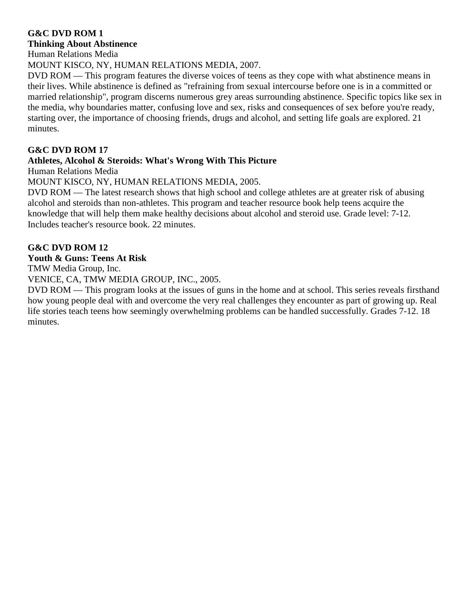#### **G&C DVD ROM 1 Thinking About Abstinence**

Human Relations Media

MOUNT KISCO, NY, HUMAN RELATIONS MEDIA, 2007.

DVD ROM — This program features the diverse voices of teens as they cope with what abstinence means in their lives. While abstinence is defined as "refraining from sexual intercourse before one is in a committed or married relationship", program discerns numerous grey areas surrounding abstinence. Specific topics like sex in the media, why boundaries matter, confusing love and sex, risks and consequences of sex before you're ready, starting over, the importance of choosing friends, drugs and alcohol, and setting life goals are explored. 21 minutes.

# **G&C DVD ROM 17**

# **Athletes, Alcohol & Steroids: What's Wrong With This Picture**

Human Relations Media

MOUNT KISCO, NY, HUMAN RELATIONS MEDIA, 2005.

DVD ROM — The latest research shows that high school and college athletes are at greater risk of abusing alcohol and steroids than non-athletes. This program and teacher resource book help teens acquire the knowledge that will help them make healthy decisions about alcohol and steroid use. Grade level: 7-12. Includes teacher's resource book. 22 minutes.

#### **G&C DVD ROM 12**

#### **Youth & Guns: Teens At Risk**

TMW Media Group, Inc.

VENICE, CA, TMW MEDIA GROUP, INC., 2005.

DVD ROM — This program looks at the issues of guns in the home and at school. This series reveals firsthand how young people deal with and overcome the very real challenges they encounter as part of growing up. Real life stories teach teens how seemingly overwhelming problems can be handled successfully. Grades 7-12. 18 minutes.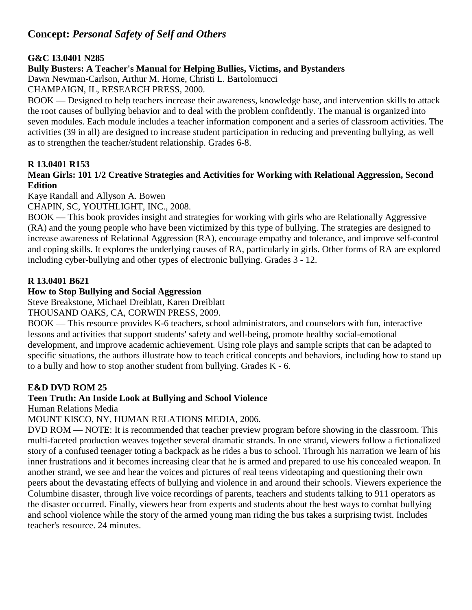# **Concept:** *Personal Safety of Self and Others*

#### **G&C 13.0401 N285**

#### **Bully Busters: A Teacher's Manual for Helping Bullies, Victims, and Bystanders**

Dawn Newman-Carlson, Arthur M. Horne, Christi L. Bartolomucci

CHAMPAIGN, IL, RESEARCH PRESS, 2000.

BOOK — Designed to help teachers increase their awareness, knowledge base, and intervention skills to attack the root causes of bullying behavior and to deal with the problem confidently. The manual is organized into seven modules. Each module includes a teacher information component and a series of classroom activities. The activities (39 in all) are designed to increase student participation in reducing and preventing bullying, as well as to strengthen the teacher/student relationship. Grades 6-8.

#### **R 13.0401 R153**

#### **Mean Girls: 101 1/2 Creative Strategies and Activities for Working with Relational Aggression, Second Edition**

Kaye Randall and Allyson A. Bowen

CHAPIN, SC, YOUTHLIGHT, INC., 2008.

BOOK — This book provides insight and strategies for working with girls who are Relationally Aggressive (RA) and the young people who have been victimized by this type of bullying. The strategies are designed to increase awareness of Relational Aggression (RA), encourage empathy and tolerance, and improve self-control and coping skills. It explores the underlying causes of RA, particularly in girls. Other forms of RA are explored including cyber-bullying and other types of electronic bullying. Grades 3 - 12.

#### **R 13.0401 B621**

#### **How to Stop Bullying and Social Aggression**

Steve Breakstone, Michael Dreiblatt, Karen Dreiblatt

THOUSAND OAKS, CA, CORWIN PRESS, 2009.

BOOK — This resource provides K-6 teachers, school administrators, and counselors with fun, interactive lessons and activities that support students' safety and well-being, promote healthy social-emotional development, and improve academic achievement. Using role plays and sample scripts that can be adapted to specific situations, the authors illustrate how to teach critical concepts and behaviors, including how to stand up to a bully and how to stop another student from bullying. Grades K - 6.

# **E&D DVD ROM 25**

# **Teen Truth: An Inside Look at Bullying and School Violence**

Human Relations Media

MOUNT KISCO, NY, HUMAN RELATIONS MEDIA, 2006.

DVD ROM — NOTE: It is recommended that teacher preview program before showing in the classroom. This multi-faceted production weaves together several dramatic strands. In one strand, viewers follow a fictionalized story of a confused teenager toting a backpack as he rides a bus to school. Through his narration we learn of his inner frustrations and it becomes increasing clear that he is armed and prepared to use his concealed weapon. In another strand, we see and hear the voices and pictures of real teens videotaping and questioning their own peers about the devastating effects of bullying and violence in and around their schools. Viewers experience the Columbine disaster, through live voice recordings of parents, teachers and students talking to 911 operators as the disaster occurred. Finally, viewers hear from experts and students about the best ways to combat bullying and school violence while the story of the armed young man riding the bus takes a surprising twist. Includes teacher's resource. 24 minutes.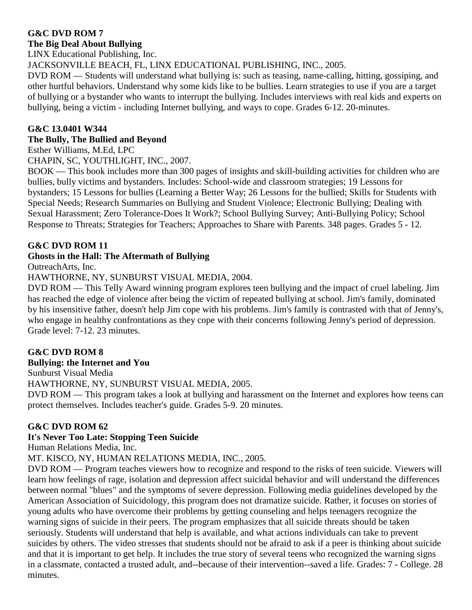#### **The Big Deal About Bullying**

LINX Educational Publishing, Inc.

JACKSONVILLE BEACH, FL, LINX EDUCATIONAL PUBLISHING, INC., 2005.

DVD ROM — Students will understand what bullying is: such as teasing, name-calling, hitting, gossiping, and other hurtful behaviors. Understand why some kids like to be bullies. Learn strategies to use if you are a target of bullying or a bystander who wants to interrupt the bullying. Includes interviews with real kids and experts on bullying, being a victim - including Internet bullying, and ways to cope. Grades 6-12. 20-minutes.

#### **G&C 13.0401 W344**

#### **The Bully, The Bullied and Beyond**

Esther Williams, M.Ed, LPC

CHAPIN, SC, YOUTHLIGHT, INC., 2007.

BOOK — This book includes more than 300 pages of insights and skill-building activities for children who are bullies, bully victims and bystanders. Includes: School-wide and classroom strategies; 19 Lessons for bystanders; 15 Lessons for bullies (Learning a Better Way; 26 Lessons for the bullied; Skills for Students with Special Needs; Research Summaries on Bullying and Student Violence; Electronic Bullying; Dealing with Sexual Harassment; Zero Tolerance-Does It Work?; School Bullying Survey; Anti-Bullying Policy; School Response to Threats; Strategies for Teachers; Approaches to Share with Parents. 348 pages. Grades 5 - 12.

#### **G&C DVD ROM 11**

#### **Ghosts in the Hall: The Aftermath of Bullying**

OutreachArts, Inc.

#### HAWTHORNE, NY, SUNBURST VISUAL MEDIA, 2004.

DVD ROM — This Telly Award winning program explores teen bullying and the impact of cruel labeling. Jim has reached the edge of violence after being the victim of repeated bullying at school. Jim's family, dominated by his insensitive father, doesn't help Jim cope with his problems. Jim's family is contrasted with that of Jenny's, who engage in healthy confrontations as they cope with their concerns following Jenny's period of depression. Grade level: 7-12. 23 minutes.

#### **G&C DVD ROM 8**

#### **Bullying: the Internet and You**

Sunburst Visual Media

HAWTHORNE, NY, SUNBURST VISUAL MEDIA, 2005.

DVD ROM — This program takes a look at bullying and harassment on the Internet and explores how teens can protect themselves. Includes teacher's guide. Grades 5-9. 20 minutes.

#### **G&C DVD ROM 62**

#### **It's Never Too Late: Stopping Teen Suicide**

Human Relations Media, Inc.

MT. KISCO, NY, HUMAN RELATIONS MEDIA, INC., 2005.

DVD ROM — Program teaches viewers how to recognize and respond to the risks of teen suicide. Viewers will learn how feelings of rage, isolation and depression affect suicidal behavior and will understand the differences between normal "blues" and the symptoms of severe depression. Following media guidelines developed by the American Association of Suicidology, this program does not dramatize suicide. Rather, it focuses on stories of young adults who have overcome their problems by getting counseling and helps teenagers recognize the warning signs of suicide in their peers. The program emphasizes that all suicide threats should be taken seriously. Students will understand that help is available, and what actions individuals can take to prevent suicides by others. The video stresses that students should not be afraid to ask if a peer is thinking about suicide and that it is important to get help. It includes the true story of several teens who recognized the warning signs in a classmate, contacted a trusted adult, and--because of their intervention--saved a life. Grades: 7 - College. 28 minutes.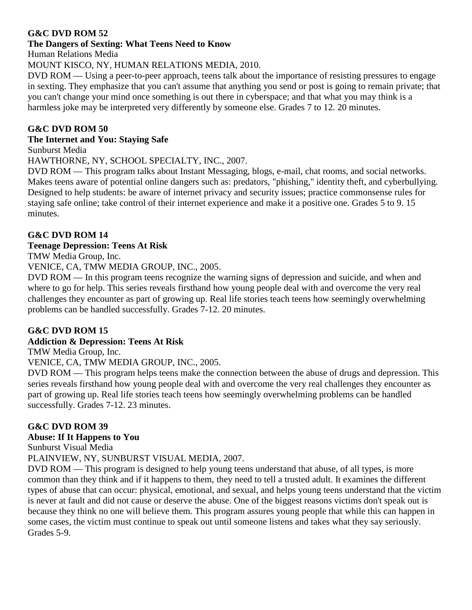#### **The Dangers of Sexting: What Teens Need to Know**

Human Relations Media

#### MOUNT KISCO, NY, HUMAN RELATIONS MEDIA, 2010.

DVD ROM — Using a peer-to-peer approach, teens talk about the importance of resisting pressures to engage in sexting. They emphasize that you can't assume that anything you send or post is going to remain private; that you can't change your mind once something is out there in cyberspace; and that what you may think is a harmless joke may be interpreted very differently by someone else. Grades 7 to 12. 20 minutes.

#### **G&C DVD ROM 50**

#### **The Internet and You: Staying Safe**

Sunburst Media

HAWTHORNE, NY, SCHOOL SPECIALTY, INC., 2007.

DVD ROM — This program talks about Instant Messaging, blogs, e-mail, chat rooms, and social networks. Makes teens aware of potential online dangers such as: predators, "phishing," identity theft, and cyberbullying. Designed to help students: be aware of internet privacy and security issues; practice commonsense rules for staying safe online; take control of their internet experience and make it a positive one. Grades 5 to 9. 15 minutes.

#### **G&C DVD ROM 14**

#### **Teenage Depression: Teens At Risk**

TMW Media Group, Inc.

VENICE, CA, TMW MEDIA GROUP, INC., 2005.

DVD ROM — In this program teens recognize the warning signs of depression and suicide, and when and where to go for help. This series reveals firsthand how young people deal with and overcome the very real challenges they encounter as part of growing up. Real life stories teach teens how seemingly overwhelming problems can be handled successfully. Grades 7-12. 20 minutes.

# **G&C DVD ROM 15**

# **Addiction & Depression: Teens At Risk**

TMW Media Group, Inc.

VENICE, CA, TMW MEDIA GROUP, INC., 2005.

DVD ROM — This program helps teens make the connection between the abuse of drugs and depression. This series reveals firsthand how young people deal with and overcome the very real challenges they encounter as part of growing up. Real life stories teach teens how seemingly overwhelming problems can be handled successfully. Grades 7-12. 23 minutes.

# **G&C DVD ROM 39**

#### **Abuse: If It Happens to You**

Sunburst Visual Media

PLAINVIEW, NY, SUNBURST VISUAL MEDIA, 2007.

DVD ROM — This program is designed to help young teens understand that abuse, of all types, is more common than they think and if it happens to them, they need to tell a trusted adult. It examines the different types of abuse that can occur: physical, emotional, and sexual, and helps young teens understand that the victim is never at fault and did not cause or deserve the abuse. One of the biggest reasons victims don't speak out is because they think no one will believe them. This program assures young people that while this can happen in some cases, the victim must continue to speak out until someone listens and takes what they say seriously. Grades 5-9.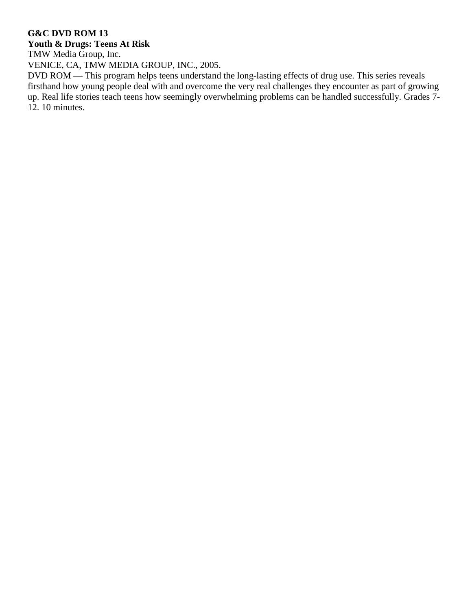# **Youth & Drugs: Teens At Risk**

TMW Media Group, Inc.

VENICE, CA, TMW MEDIA GROUP, INC., 2005.

DVD ROM — This program helps teens understand the long-lasting effects of drug use. This series reveals firsthand how young people deal with and overcome the very real challenges they encounter as part of growing up. Real life stories teach teens how seemingly overwhelming problems can be handled successfully. Grades 7- 12. 10 minutes.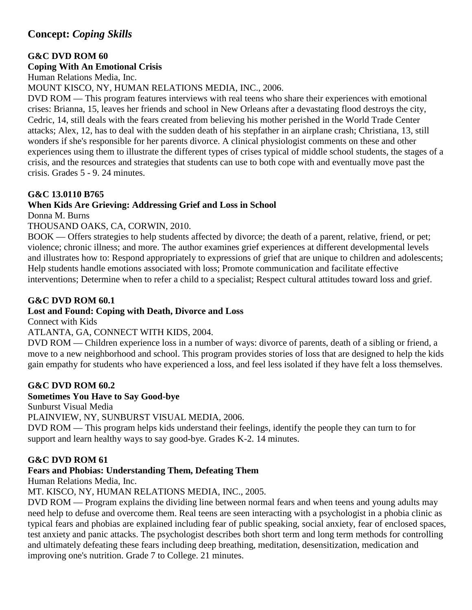# **Concept:** *Coping Skills*

#### **G&C DVD ROM 60**

#### **Coping With An Emotional Crisis**

Human Relations Media, Inc.

MOUNT KISCO, NY, HUMAN RELATIONS MEDIA, INC., 2006.

DVD ROM — This program features interviews with real teens who share their experiences with emotional crises: Brianna, 15, leaves her friends and school in New Orleans after a devastating flood destroys the city, Cedric, 14, still deals with the fears created from believing his mother perished in the World Trade Center attacks; Alex, 12, has to deal with the sudden death of his stepfather in an airplane crash; Christiana, 13, still wonders if she's responsible for her parents divorce. A clinical physiologist comments on these and other experiences using them to illustrate the different types of crises typical of middle school students, the stages of a crisis, and the resources and strategies that students can use to both cope with and eventually move past the crisis. Grades 5 - 9. 24 minutes.

#### **G&C 13.0110 B765**

#### **When Kids Are Grieving: Addressing Grief and Loss in School**

Donna M. Burns

#### THOUSAND OAKS, CA, CORWIN, 2010.

BOOK — Offers strategies to help students affected by divorce; the death of a parent, relative, friend, or pet; violence; chronic illness; and more. The author examines grief experiences at different developmental levels and illustrates how to: Respond appropriately to expressions of grief that are unique to children and adolescents; Help students handle emotions associated with loss; Promote communication and facilitate effective interventions; Determine when to refer a child to a specialist; Respect cultural attitudes toward loss and grief.

#### **G&C DVD ROM 60.1**

#### **Lost and Found: Coping with Death, Divorce and Loss**

Connect with Kids

#### ATLANTA, GA, CONNECT WITH KIDS, 2004.

DVD ROM — Children experience loss in a number of ways: divorce of parents, death of a sibling or friend, a move to a new neighborhood and school. This program provides stories of loss that are designed to help the kids gain empathy for students who have experienced a loss, and feel less isolated if they have felt a loss themselves.

#### **G&C DVD ROM 60.2**

#### **Sometimes You Have to Say Good-bye**

Sunburst Visual Media

PLAINVIEW, NY, SUNBURST VISUAL MEDIA, 2006.

DVD ROM — This program helps kids understand their feelings, identify the people they can turn to for support and learn healthy ways to say good-bye. Grades K-2. 14 minutes.

#### **G&C DVD ROM 61**

# **Fears and Phobias: Understanding Them, Defeating Them**

Human Relations Media, Inc.

MT. KISCO, NY, HUMAN RELATIONS MEDIA, INC., 2005.

DVD ROM — Program explains the dividing line between normal fears and when teens and young adults may need help to defuse and overcome them. Real teens are seen interacting with a psychologist in a phobia clinic as typical fears and phobias are explained including fear of public speaking, social anxiety, fear of enclosed spaces, test anxiety and panic attacks. The psychologist describes both short term and long term methods for controlling and ultimately defeating these fears including deep breathing, meditation, desensitization, medication and improving one's nutrition. Grade 7 to College. 21 minutes.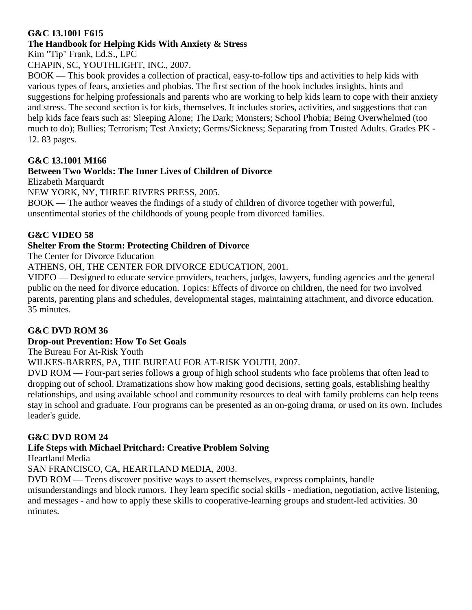#### **G&C 13.1001 F615**

# **The Handbook for Helping Kids With Anxiety & Stress**

Kim "Tip" Frank, Ed.S., LPC

CHAPIN, SC, YOUTHLIGHT, INC., 2007.

BOOK — This book provides a collection of practical, easy-to-follow tips and activities to help kids with various types of fears, anxieties and phobias. The first section of the book includes insights, hints and suggestions for helping professionals and parents who are working to help kids learn to cope with their anxiety and stress. The second section is for kids, themselves. It includes stories, activities, and suggestions that can help kids face fears such as: Sleeping Alone; The Dark; Monsters; School Phobia; Being Overwhelmed (too much to do); Bullies; Terrorism; Test Anxiety; Germs/Sickness; Separating from Trusted Adults. Grades PK - 12. 83 pages.

# **G&C 13.1001 M166**

# **Between Two Worlds: The Inner Lives of Children of Divorce**

Elizabeth Marquardt

NEW YORK, NY, THREE RIVERS PRESS, 2005.

BOOK — The author weaves the findings of a study of children of divorce together with powerful, unsentimental stories of the childhoods of young people from divorced families.

# **G&C VIDEO 58**

# **Shelter From the Storm: Protecting Children of Divorce**

The Center for Divorce Education

ATHENS, OH, THE CENTER FOR DIVORCE EDUCATION, 2001.

VIDEO — Designed to educate service providers, teachers, judges, lawyers, funding agencies and the general public on the need for divorce education. Topics: Effects of divorce on children, the need for two involved parents, parenting plans and schedules, developmental stages, maintaining attachment, and divorce education. 35 minutes.

# **G&C DVD ROM 36**

# **Drop-out Prevention: How To Set Goals**

The Bureau For At-Risk Youth

WILKES-BARRES, PA, THE BUREAU FOR AT-RISK YOUTH, 2007.

DVD ROM — Four-part series follows a group of high school students who face problems that often lead to dropping out of school. Dramatizations show how making good decisions, setting goals, establishing healthy relationships, and using available school and community resources to deal with family problems can help teens stay in school and graduate. Four programs can be presented as an on-going drama, or used on its own. Includes leader's guide.

# **G&C DVD ROM 24**

# **Life Steps with Michael Pritchard: Creative Problem Solving**

Heartland Media

SAN FRANCISCO, CA, HEARTLAND MEDIA, 2003.

DVD ROM — Teens discover positive ways to assert themselves, express complaints, handle

misunderstandings and block rumors. They learn specific social skills - mediation, negotiation, active listening, and messages - and how to apply these skills to cooperative-learning groups and student-led activities. 30 minutes.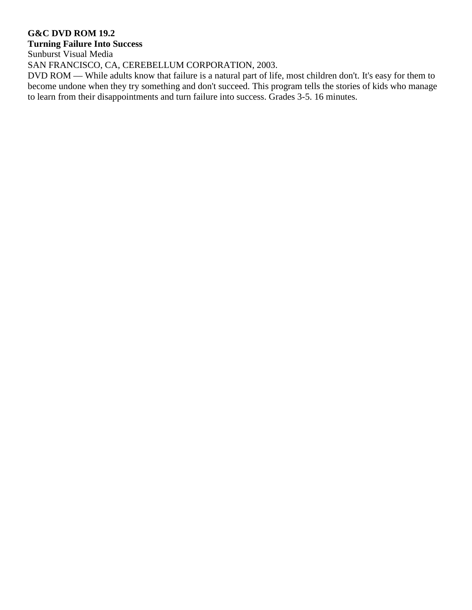#### **G&C DVD ROM 19.2**

# **Turning Failure Into Success**

Sunburst Visual Media

SAN FRANCISCO, CA, CEREBELLUM CORPORATION, 2003.

DVD ROM — While adults know that failure is a natural part of life, most children don't. It's easy for them to become undone when they try something and don't succeed. This program tells the stories of kids who manage to learn from their disappointments and turn failure into success. Grades 3-5. 16 minutes.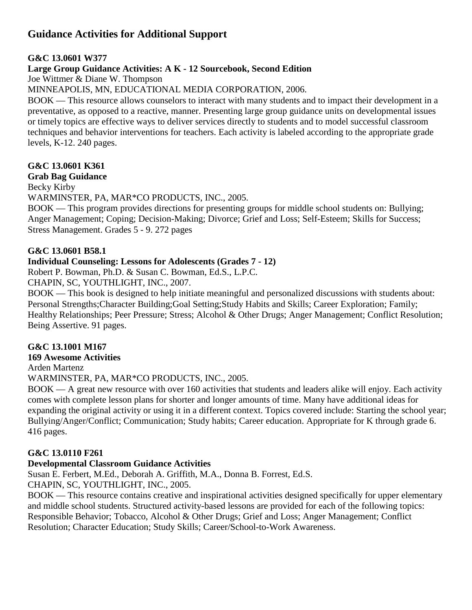# **Guidance Activities for Additional Support**

#### **G&C 13.0601 W377**

#### **Large Group Guidance Activities: A K - 12 Sourcebook, Second Edition**

Joe Wittmer & Diane W. Thompson

MINNEAPOLIS, MN, EDUCATIONAL MEDIA CORPORATION, 2006.

BOOK — This resource allows counselors to interact with many students and to impact their development in a preventative, as opposed to a reactive, manner. Presenting large group guidance units on developmental issues or timely topics are effective ways to deliver services directly to students and to model successful classroom techniques and behavior interventions for teachers. Each activity is labeled according to the appropriate grade levels, K-12. 240 pages.

#### **G&C 13.0601 K361**

#### **Grab Bag Guidance**

Becky Kirby

WARMINSTER, PA, MAR\*CO PRODUCTS, INC., 2005.

BOOK — This program provides directions for presenting groups for middle school students on: Bullying; Anger Management; Coping; Decision-Making; Divorce; Grief and Loss; Self-Esteem; Skills for Success; Stress Management. Grades 5 - 9. 272 pages

#### **G&C 13.0601 B58.1**

#### **Individual Counseling: Lessons for Adolescents (Grades 7 - 12)**

Robert P. Bowman, Ph.D. & Susan C. Bowman, Ed.S., L.P.C.

CHAPIN, SC, YOUTHLIGHT, INC., 2007.

BOOK — This book is designed to help initiate meaningful and personalized discussions with students about: Personal Strengths;Character Building;Goal Setting;Study Habits and Skills; Career Exploration; Family; Healthy Relationships; Peer Pressure; Stress; Alcohol & Other Drugs; Anger Management; Conflict Resolution; Being Assertive. 91 pages.

#### **G&C 13.1001 M167**

#### **169 Awesome Activities**

Arden Martenz

WARMINSTER, PA, MAR\*CO PRODUCTS, INC., 2005.

BOOK — A great new resource with over 160 activities that students and leaders alike will enjoy. Each activity comes with complete lesson plans for shorter and longer amounts of time. Many have additional ideas for expanding the original activity or using it in a different context. Topics covered include: Starting the school year; Bullying/Anger/Conflict; Communication; Study habits; Career education. Appropriate for K through grade 6. 416 pages.

#### **G&C 13.0110 F261**

#### **Developmental Classroom Guidance Activities**

Susan E. Ferbert, M.Ed., Deborah A. Griffith, M.A., Donna B. Forrest, Ed.S. CHAPIN, SC, YOUTHLIGHT, INC., 2005.

BOOK — This resource contains creative and inspirational activities designed specifically for upper elementary and middle school students. Structured activity-based lessons are provided for each of the following topics: Responsible Behavior; Tobacco, Alcohol & Other Drugs; Grief and Loss; Anger Management; Conflict Resolution; Character Education; Study Skills; Career/School-to-Work Awareness.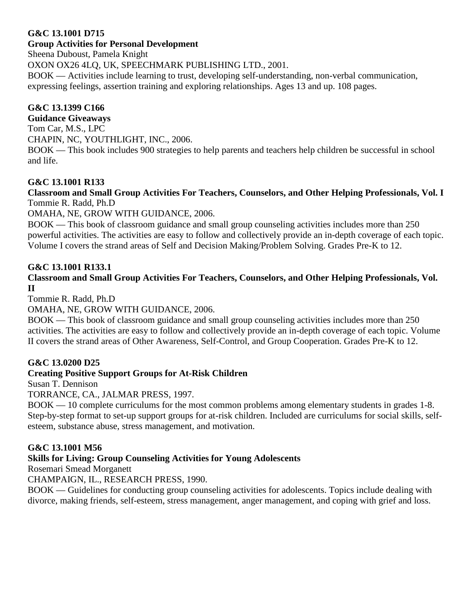#### **G&C 13.1001 D715**

#### **Group Activities for Personal Development**

Sheena Duboust, Pamela Knight

OXON OX26 4LQ, UK, SPEECHMARK PUBLISHING LTD., 2001.

BOOK — Activities include learning to trust, developing self-understanding, non-verbal communication, expressing feelings, assertion training and exploring relationships. Ages 13 and up. 108 pages.

#### **G&C 13.1399 C166**

**Guidance Giveaways**

Tom Car, M.S., LPC CHAPIN, NC, YOUTHLIGHT, INC., 2006.

BOOK — This book includes 900 strategies to help parents and teachers help children be successful in school and life.

# **G&C 13.1001 R133**

#### **Classroom and Small Group Activities For Teachers, Counselors, and Other Helping Professionals, Vol. I** Tommie R. Radd, Ph.D

OMAHA, NE, GROW WITH GUIDANCE, 2006.

BOOK — This book of classroom guidance and small group counseling activities includes more than 250 powerful activities. The activities are easy to follow and collectively provide an in-depth coverage of each topic. Volume I covers the strand areas of Self and Decision Making/Problem Solving. Grades Pre-K to 12.

#### **G&C 13.1001 R133.1**

#### **Classroom and Small Group Activities For Teachers, Counselors, and Other Helping Professionals, Vol. II**

Tommie R. Radd, Ph.D

#### OMAHA, NE, GROW WITH GUIDANCE, 2006.

BOOK — This book of classroom guidance and small group counseling activities includes more than 250 activities. The activities are easy to follow and collectively provide an in-depth coverage of each topic. Volume II covers the strand areas of Other Awareness, Self-Control, and Group Cooperation. Grades Pre-K to 12.

#### **G&C 13.0200 D25**

# **Creating Positive Support Groups for At-Risk Children**

Susan T. Dennison

TORRANCE, CA., JALMAR PRESS, 1997.

BOOK — 10 complete curriculums for the most common problems among elementary students in grades 1-8. Step-by-step format to set-up support groups for at-risk children. Included are curriculums for social skills, selfesteem, substance abuse, stress management, and motivation.

#### **G&C 13.1001 M56**

#### **Skills for Living: Group Counseling Activities for Young Adolescents**

Rosemari Smead Morganett

CHAMPAIGN, IL., RESEARCH PRESS, 1990.

BOOK — Guidelines for conducting group counseling activities for adolescents. Topics include dealing with divorce, making friends, self-esteem, stress management, anger management, and coping with grief and loss.